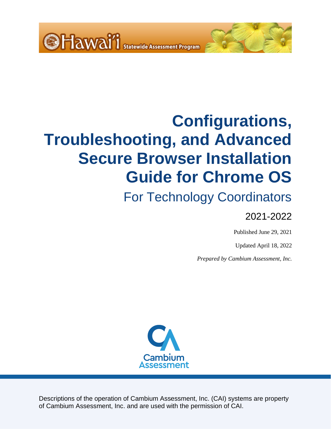<span id="page-0-0"></span>

# For Technology Coordinators

## 2021-2022

Published June 29, 2021

Updated April 18, 2022

*Prepared by Cambium Assessment, Inc.*



Descriptions of the operation of Cambium Assessment, Inc. (CAI) systems are property of Cambium Assessment, Inc. and are used with the permission of CAI.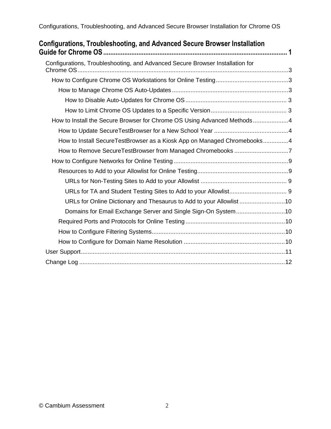| Configurations, Troubleshooting, and Advanced Secure Browser Installation     |  |
|-------------------------------------------------------------------------------|--|
| Configurations, Troubleshooting, and Advanced Secure Browser Installation for |  |
|                                                                               |  |
|                                                                               |  |
|                                                                               |  |
|                                                                               |  |
| How to Install the Secure Browser for Chrome OS Using Advanced Methods4       |  |
|                                                                               |  |
| How to Install SecureTestBrowser as a Kiosk App on Managed Chromebooks4       |  |
| How to Remove SecureTestBrowser from Managed Chromebooks 7                    |  |
|                                                                               |  |
|                                                                               |  |
|                                                                               |  |
|                                                                               |  |
| URLs for Online Dictionary and Thesaurus to Add to your Allowlist 10          |  |
| Domains for Email Exchange Server and Single Sign-On System10                 |  |
|                                                                               |  |
|                                                                               |  |
|                                                                               |  |
|                                                                               |  |
|                                                                               |  |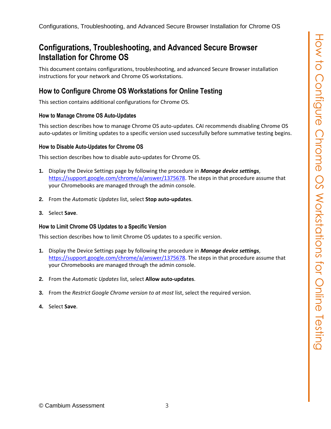<span id="page-2-0"></span>This document contains configurations, troubleshooting, and advanced Secure Browser installation instructions for your network and Chrome OS workstations.

## <span id="page-2-1"></span>**How to Configure Chrome OS Workstations for Online Testing**

This section contains additional configurations for Chrome OS.

#### <span id="page-2-2"></span>**How to Manage Chrome OS Auto-Updates**

This section describes how to manage Chrome OS auto-updates. CAI recommends disabling Chrome OS auto-updates or limiting updates to a specific version used successfully before summative testing begins.

#### <span id="page-2-3"></span>**How to Disable Auto-Updates for Chrome OS**

This section describes how to disable auto-updates for Chrome OS.

- **1.** Display the Device Settings page by following the procedure in *Manage device settings*, [https://support.google.com/chrome/a/answer/1375678.](https://support.google.com/chrome/a/answer/1375678) The steps in that procedure assume that your Chromebooks are managed through the admin console.
- **2.** From the *Automatic Updates* list, select **Stop auto-updates**.
- **3.** Select **Save**.

#### <span id="page-2-4"></span>**How to Limit Chrome OS Updates to a Specific Version**

This section describes how to limit Chrome OS updates to a specific version.

- **1.** Display the Device Settings page by following the procedure in *Manage device settings*, https://support.google.com/chrome/a/answer/1375678. The steps in that procedure assume that your Chromebooks are managed through the admin console.
- **2.** From the *Automatic Updates* list, select **Allow auto-updates**.
- **3.** From the *Restrict Google Chrome version to at most* list, select the required version.
- **4.** Select **Save**.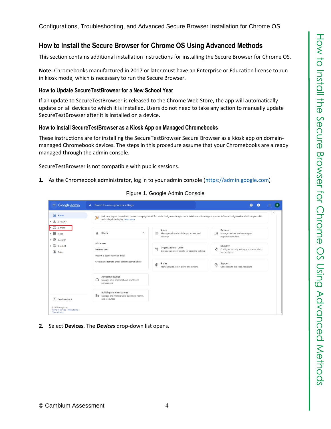### <span id="page-3-0"></span>**How to Install the Secure Browser for Chrome OS Using Advanced Methods**

This section contains additional installation instructions for installing the Secure Browser for Chrome OS.

**Note:** Chromebooks manufactured in 2017 or later must have an Enterprise or Education license to run in kiosk mode, which is necessary to run the Secure Browser.

#### <span id="page-3-1"></span>**How to Update SecureTestBrowser for a New School Year**

If an update to SecureTestBrowser is released to the Chrome Web Store, the app will automatically update on all devices to which it is installed. Users do not need to take any action to manually update SecureTestBrowser after it is installed on a device.

#### <span id="page-3-2"></span>**How to Install SecureTestBrowser as a Kiosk App on Managed Chromebooks**

These instructions are for installing the SecureTestBrowser Secure Browser as a kiosk app on domainmanaged Chromebook devices. The steps in this procedure assume that your Chromebooks are already managed through the admin console.

SecureTestBrowser is not compatible with public sessions.

<span id="page-3-3"></span>**1.** As the Chromebook administrator, log in to your admin console [\(https://admin.google.com\)](https://admin.google.com/)

| $\equiv$ Google Admin                                                              | $\alpha$<br>Search for users, groups or settings                                                  |                                                                                                                                                                       | 2<br>Q                                                                         | 曲<br>B    |
|------------------------------------------------------------------------------------|---------------------------------------------------------------------------------------------------|-----------------------------------------------------------------------------------------------------------------------------------------------------------------------|--------------------------------------------------------------------------------|-----------|
| a Home<br>& Directory                                                              | 癣<br>and collapsible display! Learn more                                                          | Welcome to your new Admin console homepage! You'll find easier navigation throughout the Admin console using the updated left-hand navigation bar with its expandable |                                                                                | $\langle$ |
| $\overline{\mathsf{L}}\overline{\mathsf{D}}$ Devices<br>₩<br>Apps<br>⊕<br>Security | $\approx$<br>Users<br>$\widehat{\phantom{a}}$                                                     | Apps<br>₩<br>Manage web and mobile app access and<br>settings                                                                                                         | <b>Devices</b><br>Manage devices and secure your<br>ᄕ<br>organization's data   |           |
| • @<br>Account<br>⊕<br>Rules                                                       | Add a user<br>Delete a user<br>Update a user's name or email                                      | Organizational units<br>$n_{\rm H}$<br>Organize users into units for applying policies                                                                                | Security<br>⊕<br>Configure security settings, and view alerts<br>and analytics |           |
|                                                                                    | Create an alternate email address (email alias)                                                   | Rules<br>$\bigcirc$<br>Manage rules to set alerts and actions                                                                                                         | Support<br>$\circledcirc$<br>Connect with the Help Assistant                   |           |
|                                                                                    | Account settings<br>Ô<br>Manage your organization's profile and<br>preferences                    |                                                                                                                                                                       |                                                                                |           |
| ⊡<br>Send feedback                                                                 | <b>Buildings and resources</b><br>齨<br>Manage and monitor your buildings, rooms,<br>and resources |                                                                                                                                                                       |                                                                                |           |
| @ 2021 Google Inc.<br>Terms of service - Billing terms -<br><b>Privacy Policy</b>  |                                                                                                   |                                                                                                                                                                       |                                                                                |           |

Figure 1. Google Admin Console

**2.** Select **Devices**. The *Devices* drop-down list opens.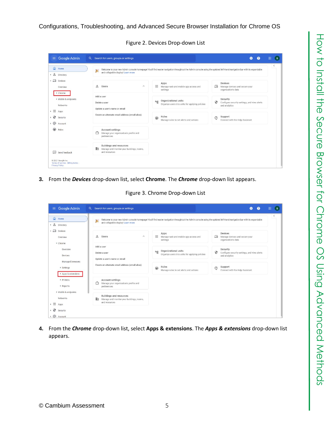

| $\equiv$ Google Admin<br>$\alpha$                                                 | Search for users, groups or settings                                                              |                                                                                                                                                                       | ◙<br>❷                                                                         | 冊<br>B |
|-----------------------------------------------------------------------------------|---------------------------------------------------------------------------------------------------|-----------------------------------------------------------------------------------------------------------------------------------------------------------------------|--------------------------------------------------------------------------------|--------|
| ⋒<br>Home<br>• & Directory                                                        | 廔<br>and collapsible display! Learn more                                                          | Welcome to your new Admin console homepage! You'll find easier navigation throughout the Admin console using the updated left-hand navigation bar with its expandable |                                                                                | <      |
| $\overline{\phantom{a}}$ $\Box$ Devices<br>Overview<br>• Chrome                   | å<br>Users<br>$\wedge$                                                                            | Apps<br>₩<br>Manage web and mobile app access and<br>settings                                                                                                         | <b>Devices</b><br>ᄄ<br>Manage devices and secure your<br>organization's data   |        |
| > Mobile & endpoints<br>Networks                                                  | Add a user<br>Delete a user<br>Update a user's name or email                                      | Organizational units<br>메<br>Organize users into units for applying policies                                                                                          | Security<br>⊕<br>Configure security settings, and view alerts<br>and analytics |        |
| ∷<br>Apps<br>₩<br>Security<br>, @<br>Account                                      | Create an alternate email address (email alias)                                                   | Rules<br>$\bigcirc$<br>Manage rules to set alerts and actions                                                                                                         | Support<br>$\circledcirc$<br>Connect with the Help Assistant                   |        |
| ⊕<br>Rules                                                                        | <b>Account settings</b><br>۳<br>Manage your organization's profile and<br>preferences             |                                                                                                                                                                       |                                                                                |        |
| ⊞<br>Send feedback                                                                | <b>Buildings and resources</b><br>脚<br>Manage and monitor your buildings, rooms,<br>and resources |                                                                                                                                                                       |                                                                                |        |
| © 2021 Google Inc.<br>Terms of service - Billing terms -<br><b>Privacy Policy</b> |                                                                                                   |                                                                                                                                                                       |                                                                                |        |

**3.** From the *Devices* drop-down list, select **Chrome**. The *Chrome* drop-down list appears.

Figure 3. Chrome Drop-down List

| $\equiv$ Google Admin                                                             | Search for users, groups or settings<br>$\alpha$                                                  |                                                                                                                                                                       | Q<br>2                                                                         | 噩<br>B     |
|-----------------------------------------------------------------------------------|---------------------------------------------------------------------------------------------------|-----------------------------------------------------------------------------------------------------------------------------------------------------------------------|--------------------------------------------------------------------------------|------------|
| $\Omega$<br>Home<br>å<br>Directory                                                | 寠<br>and collapsible display! Learn more                                                          | Welcome to your new Admin console homepage! You'll find easier navigation throughout the Admin console using the updated left-hand navigation bar with its expandable |                                                                                | $\epsilon$ |
| $\overline{\phantom{a}}$ $\overline{\phantom{a}}$ Devices<br>Overview<br>- Chrome | $\approx$<br><b>Users</b><br>$\wedge$                                                             | Apps<br>₩<br>Manage web and mobile app access and<br>settings                                                                                                         | <b>Devices</b><br>ᄕ<br>Manage devices and secure your<br>organization's data   |            |
| Overview<br>Devices                                                               | Add a user<br>Delete a user<br>Update a user's name or email                                      | Organizational units<br>咄<br>Organize users into units for applying policies                                                                                          | Security<br>0<br>Configure security settings, and view alerts<br>and analytics |            |
| Managed browsers<br>▶ Settings<br>Apps & extensions                               | Create an alternate email address (email alias)                                                   | Rules<br>$\bigcirc$<br>Manage rules to set alerts and actions                                                                                                         | Support<br>$\circledcirc$<br>Connect with the Help Assistant                   |            |
| Printers<br>Reports<br>> Mobile & endpoints                                       | <b>Account settings</b><br>Manage your organization's profile and<br>preferences                  |                                                                                                                                                                       |                                                                                |            |
| Networks<br>₩<br>Apps                                                             | <b>Buildings and resources</b><br>中<br>Manage and monitor your buildings, rooms,<br>and resources |                                                                                                                                                                       |                                                                                |            |
| Ø<br>Security<br>@ Account                                                        |                                                                                                   |                                                                                                                                                                       |                                                                                |            |

**4.** From the *Chrome* drop-down list, select **Apps & extensions**. The *Apps & extensions* drop-down list appears.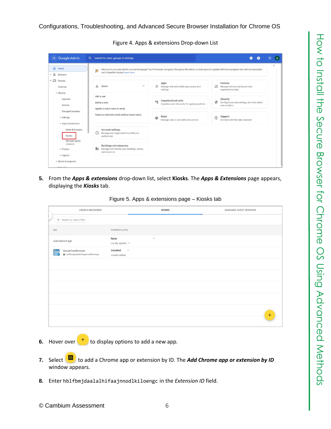Figure 4. Apps & extensions Drop-down List

| $\langle$<br>Welcome to your new Admin console homepage! You'll find easier navigation throughout the Admin console using the updated left-hand navigation bar with its expandable<br><b>Devices</b><br>Manage web and mobile app access and<br>ᇿ<br>Manage devices and secure your<br>organization's data |
|------------------------------------------------------------------------------------------------------------------------------------------------------------------------------------------------------------------------------------------------------------------------------------------------------------|
|                                                                                                                                                                                                                                                                                                            |
|                                                                                                                                                                                                                                                                                                            |
| Security<br>Organizational units<br>$\bullet$<br>Configure security settings, and view alerts<br>Organize users into units for applying policies<br>and analytics                                                                                                                                          |
| Support<br>℗<br>Manage rules to set alerts and actions<br>Connect with the Help Assistant                                                                                                                                                                                                                  |
|                                                                                                                                                                                                                                                                                                            |
|                                                                                                                                                                                                                                                                                                            |
|                                                                                                                                                                                                                                                                                                            |

<span id="page-5-0"></span>**5.** From the *Apps & extensions* drop-down list, select **Kiosks**. The *Apps & Extensions* page appears, displaying the *Kiosks* tab.

|  |  | Figure 5. Apps & extensions page - Kiosks tab |  |
|--|--|-----------------------------------------------|--|
|--|--|-----------------------------------------------|--|

| <b>USERS &amp; BROWSERS</b>                                                       |                                                                                | <b>KIOSKS</b> | <b>MANAGED GUEST SESSIONS</b> |
|-----------------------------------------------------------------------------------|--------------------------------------------------------------------------------|---------------|-------------------------------|
| + Search or add a filter                                                          |                                                                                |               |                               |
| App                                                                               | <b>Installation policy</b>                                                     |               |                               |
| Auto-launch app                                                                   | <b>None</b><br>$\overline{\mathbf{v}}$<br>Locally applied $\blacktriangledown$ |               |                               |
| SecureTestBrowser<br>$\overline{\cdots}$<br>6<br>hblfbmjdaalalhifaajnnodlkiloengc | Installed<br>$\overline{\phantom{a}}$<br>Locally added                         |               |                               |
|                                                                                   |                                                                                |               |                               |
|                                                                                   |                                                                                |               |                               |
|                                                                                   |                                                                                |               |                               |
|                                                                                   |                                                                                |               |                               |
|                                                                                   |                                                                                |               | $+$                           |
|                                                                                   |                                                                                |               |                               |
|                                                                                   |                                                                                |               |                               |

- **6.** Hover over  $\begin{pmatrix} + \\ 1 \end{pmatrix}$  to display options to add a new app.
- **7.** Select **the** to add a Chrome app or extension by ID. The **Add Chrome app or extension by ID** window appears.
- **8.** Enter hblfbmjdaalalhifaajnnodlkiloengc in the *Extension ID* field.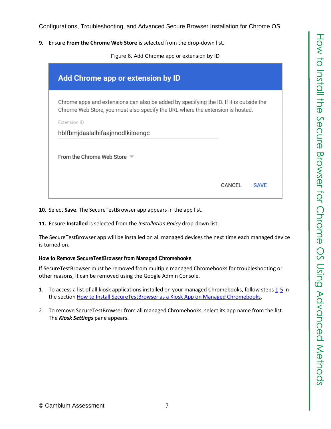**9.** Ensure **From the Chrome Web Store** is selected from the drop-down list.

Figure 6. Add Chrome app or extension by ID

| Add Chrome app or extension by ID                                                                                                                                                         |        |             |
|-------------------------------------------------------------------------------------------------------------------------------------------------------------------------------------------|--------|-------------|
| Chrome apps and extensions can also be added by specifying the ID. If it is outside the<br>Chrome Web Store, you must also specify the URL where the extension is hosted.<br>Extension ID |        |             |
| hblfbmjdaalalhifaajnnodlkiloengc                                                                                                                                                          |        |             |
| From the Chrome Web Store $\overline{\phantom{a}}$                                                                                                                                        |        |             |
|                                                                                                                                                                                           | CANCEL | <b>SAVF</b> |

**10.** Select **Save**. The SecureTestBrowser app appears in the app list.

**11.** Ensure **Installed** is selected from the *Installation Policy* drop-down list.

The SecureTestBrowser app will be installed on all managed devices the next time each managed device is turned on.

#### <span id="page-6-0"></span>**How to Remove SecureTestBrowser from Managed Chromebooks**

If SecureTestBrowser must be removed from multiple managed Chromebooks for troubleshooting or other reasons, it can be removed using the Google Admin Console.

- 1. To access a list of all kiosk applications installed on your managed Chromebooks, follow steps [1](#page-3-3)[-5](#page-5-0) in the section How to Install [SecureTestBrowser as a Kiosk App on Managed Chromebooks.](#page-3-2)
- 2. To remove SecureTestBrowser from all managed Chromebooks, select its app name from the list. The *Kiosk Settings* pane appears.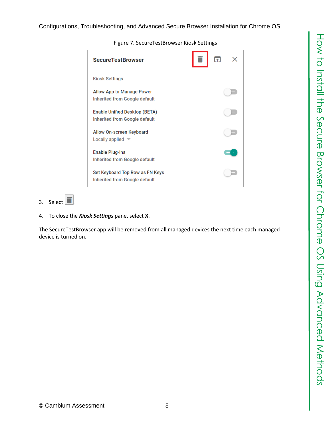| <b>SecureTestBrowser</b>                                         |  |  |
|------------------------------------------------------------------|--|--|
| <b>Kiosk Settings</b>                                            |  |  |
| Allow App to Manage Power<br>Inherited from Google default       |  |  |
| Enable Unified Desktop (BETA)<br>Inherited from Google default   |  |  |
| Allow On-screen Keyboard<br>Locally applied                      |  |  |
| <b>Enable Plug-ins</b><br>Inherited from Google default          |  |  |
| Set Keyboard Top Row as FN Keys<br>Inherited from Google default |  |  |

Figure 7. SecureTestBrowser Kiosk Settings

# 3. Select  $\boxed{\blacksquare}$

4. To close the *Kiosk Settings* pane, select **X**.

The SecureTestBrowser app will be removed from all managed devices the next time each managed device is turned on.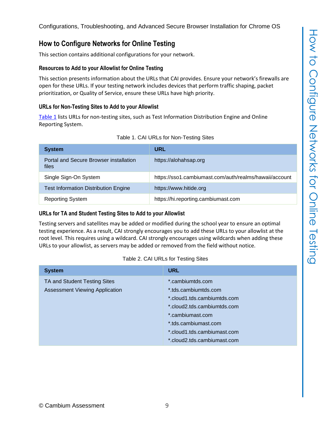### <span id="page-8-0"></span>**How to Configure Networks for Online Testing**

This section contains additional configurations for your network.

#### <span id="page-8-1"></span>**Resources to Add to your Allowlist for Online Testing**

This section presents information about the URLs that CAI provides. Ensure your network's firewalls are open for these URLs. If your testing network includes devices that perform traffic shaping, packet prioritization, or Quality of Service, ensure these URLs have high priority.

#### <span id="page-8-2"></span>**URLs for Non-Testing Sites to Add to your Allowlist**

[Table](#page-8-4) 1 lists URLs for non-testing sites, such as Test Information Distribution Engine and Online Reporting System.

<span id="page-8-4"></span>

| <b>System</b>                                   | URL                                                    |
|-------------------------------------------------|--------------------------------------------------------|
| Portal and Secure Browser installation<br>files | https://alohahsap.org                                  |
| Single Sign-On System                           | https://sso1.cambiumast.com/auth/realms/hawaii/account |
| <b>Test Information Distribution Engine</b>     | https://www.hitide.org                                 |
| <b>Reporting System</b>                         | https://hi.reporting.cambiumast.com                    |



#### <span id="page-8-3"></span>**URLs for TA and Student Testing Sites to Add to your Allowlist**

Testing servers and satellites may be added or modified during the school year to ensure an optimal testing experience. As a result, CAI strongly encourages you to add these URLs to your allowlist at the root level. This requires using a wildcard. CAI strongly encourages using wildcards when adding these URLs to your allowlist, as servers may be added or removed from the field without notice.

#### Table 2. CAI URLs for Testing Sites

<span id="page-8-5"></span>

| <b>System</b>                                                         | <b>URL</b>                                                                                                                                                                                                       |
|-----------------------------------------------------------------------|------------------------------------------------------------------------------------------------------------------------------------------------------------------------------------------------------------------|
| TA and Student Testing Sites<br><b>Assessment Viewing Application</b> | *.cambiumtds.com<br>* tds.cambiumtds.com<br>*.cloud1.tds.cambiumtds.com<br>*.cloud2.tds.cambiumtds.com<br>*.cambiumast.com<br>*.tds.cambiumast.com<br>*.cloud1.tds.cambiumast.com<br>*.cloud2.tds.cambiumast.com |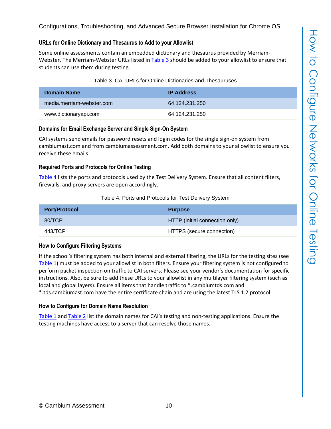#### <span id="page-9-0"></span>**URLs for Online Dictionary and Thesaurus to Add to your Allowlist**

Some online assessments contain an embedded dictionary and thesaurus provided by Merriam-Webster. The Merriam-Webster URLs listed in [Table](#page-9-5) 3 should be added to your allowlist to ensure that students can use them during testing.

| Table 3. CAI URLs for Online Dictionaries and Thesauruses |  |
|-----------------------------------------------------------|--|
|-----------------------------------------------------------|--|

<span id="page-9-5"></span>

| <b>Domain Name</b>        | <b>IP Address</b> |
|---------------------------|-------------------|
| media.merriam-webster.com | 64 124 231 250    |
| www.dictionaryapi.com     | 64.124.231.250    |

#### <span id="page-9-1"></span>**Domains for Email Exchange Server and Single Sign-On System**

CAI systems send emails for password resets and login codes for the single sign-on system from cambiumast.com and from cambiumassessment.com. Add both domains to your allowlist to ensure you receive these emails.

#### <span id="page-9-2"></span>**Required Ports and Protocols for Online Testing**

[Table](#page-9-6) 4 lists the ports and protocols used by the Test Delivery System. Ensure that all content filters, firewalls, and proxy servers are open accordingly.

#### Table 4. Ports and Protocols for Test Delivery System

<span id="page-9-6"></span>

| <b>Port/Protocol</b> | <b>Purpose</b>                 |
|----------------------|--------------------------------|
| 80/TCP               | HTTP (initial connection only) |
| 443/TCP              | HTTPS (secure connection)      |

#### <span id="page-9-3"></span>**How to Configure Filtering Systems**

If the school's filtering system has both internal and external filtering, the URLs for the testing sites (see [Table](#page-8-4) 1) must be added to your allowlist in both filters. Ensure your filtering system is not configured to perform packet inspection on traffic to CAI servers. Please see your vendor's documentation for specific instructions. Also, be sure to add these URLs to your allowlist in any multilayer filtering system (such as local and global layers). Ensure all items that handle traffic to \*.cambiumtds.com and \*.tds.cambiumast.com have the entire certificate chain and are using the latest TLS 1.2 protocol.

#### <span id="page-9-4"></span>**How to Configure for Domain Name Resolution**

[Table](#page-8-4) 1 and [Table](#page-8-5) 2 list the domain names for CAI's testing and non-testing applications. Ensure the testing machines have access to a server that can resolve those names.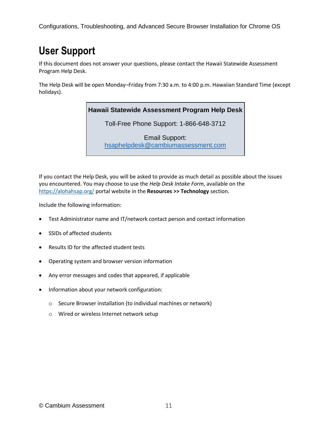## <span id="page-10-0"></span>**User Support**

If this document does not answer your questions, please contact the Hawaii Statewide Assessment Program Help Desk.

The Help Desk will be open Monday–Friday from 7:30 a.m. to 4:00 p.m. Hawaiian Standard Time (except holidays).

#### **Hawaii Statewide Assessment Program Help Desk**

Toll-Free Phone Support: 1-866-648-3712

Email Support: [hsaphelpdesk@cambiumassessment.com](mailto:hsaphelpdesk@cambiumassessment.com)

If you contact the Help Desk, you will be asked to provide as much detail as possible about the issues you encountered. You may choose to use the *Help Desk Intake Form*, available on the <https://alohahsap.org/> portal website in the **Resources >> Technology** section.

Include the following information:

- Test Administrator name and IT/network contact person and contact information
- SSIDs of affected students
- Results ID for the affected student tests
- Operating system and browser version information
- Any error messages and codes that appeared, if applicable
- Information about your network configuration:
	- o Secure Browser installation (to individual machines or network)
	- o Wired or wireless Internet network setup